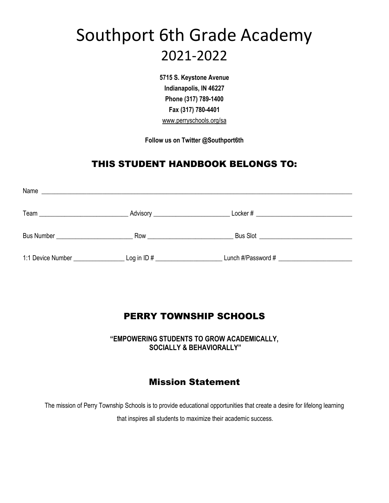# Southport 6th Grade Academy 2021-2022

**5715 S. Keystone Avenue Indianapolis, IN 46227 Phone (317) 789-1400 Fax (317) 780-4401** www.perryschools.org/sa

**Follow us on Twitter @Southport6th**

# THIS STUDENT HANDBOOK BELONGS TO:

| Name<br><u> 1989 - Johann Stoff, deutscher Stoff, der Stoff, der Stoff, der Stoff, der Stoff, der Stoff, der Stoff, der S</u> |                                                                                                                                                                                                                                      |                    |
|-------------------------------------------------------------------------------------------------------------------------------|--------------------------------------------------------------------------------------------------------------------------------------------------------------------------------------------------------------------------------------|--------------------|
|                                                                                                                               | Advisory ________________________                                                                                                                                                                                                    |                    |
| Bus Number _______________________                                                                                            | Row <b>Robert Street Street Street Street Street Street Street Street Street Street Street Street Street Street Street Street Street Street Street Street Street Street Street Street Street Street Street Street Street Street </b> |                    |
| 1:1 Device Number __________________________ Log in ID # _______________________                                              |                                                                                                                                                                                                                                      | Lunch #/Password # |

# PERRY TOWNSHIP SCHOOLS

**"EMPOWERING STUDENTS TO GROW ACADEMICALLY, SOCIALLY & BEHAVIORALLY"**

# Mission Statement

The mission of Perry Township Schools is to provide educational opportunities that create a desire for lifelong learning

that inspires all students to maximize their academic success.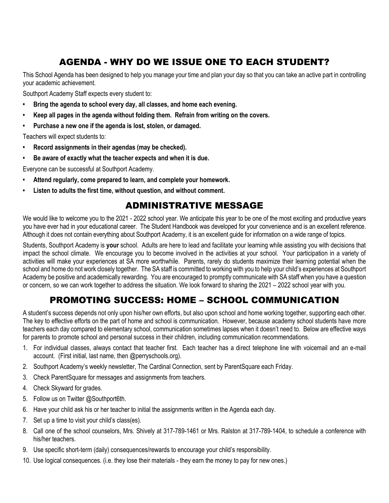# AGENDA - WHY DO WE ISSUE ONE TO EACH STUDENT?

This School Agenda has been designed to help you manage your time and plan your day so that you can take an active part in controlling your academic achievement.

Southport Academy Staff expects every student to:

- **• Bring the agenda to school every day, all classes, and home each evening.**
- **• Keep all pages in the agenda without folding them. Refrain from writing on the covers.**
- **• Purchase a new one if the agenda is lost, stolen, or damaged.**

Teachers will expect students to:

- *•* **Record assignments in their agendas (may be checked).**
- **• Be aware of exactly what the teacher expects and when it is due.**

Everyone can be successful at Southport Academy.

- *•* **Attend regularly, come prepared to learn, and complete your homework.**
- *•* **Listen to adults the first time, without question, and without comment.**

# ADMINISTRATIVE MESSAGE

We would like to welcome you to the 2021 - 2022 school year. We anticipate this year to be one of the most exciting and productive years you have ever had in your educational career. The Student Handbook was developed for your convenience and is an excellent reference. Although it does not contain everything about Southport Academy, it is an excellent guide for information on a wide range of topics.

Students, Southport Academy is **your** school. Adults are here to lead and facilitate your learning while assisting you with decisions that impact the school climate. We encourage you to become involved in the activities at your school. Your participation in a variety of activities will make your experiences at SA more worthwhile. Parents, rarely do students maximize their learning potential when the school and home do not work closely together. The SA staff is committed to working with you to help your child's experiences at Southport Academy be positive and academically rewarding. You are encouraged to promptly communicate with SA staff when you have a question or concern, so we can work together to address the situation. We look forward to sharing the 2021 – 2022 school year with you.

# PROMOTING SUCCESS: HOME – SCHOOL COMMUNICATION

A student's success depends not only upon his/her own efforts, but also upon school and home working together, supporting each other. The key to effective efforts on the part of home and school is communication. However, because academy school students have more teachers each day compared to elementary school, communication sometimes lapses when it doesn't need to. Below are effective ways for parents to promote school and personal success in their children, including communication recommendations.

- 1. For individual classes, always contact that teacher first. Each teacher has a direct telephone line with voicemail and an e-mail account. (First initial, last name, then @perryschools.org).
- 2. Southport Academy's weekly newsletter, The Cardinal Connection, sent by ParentSquare each Friday.
- 3. Check ParentSquare for messages and assignments from teachers.
- 4. Check Skyward for grades.
- 5. Follow us on Twitter @Southport6th.
- 6. Have your child ask his or her teacher to initial the assignments written in the Agenda each day.
- 7. Set up a time to visit your child's class(es).
- 8. Call one of the school counselors, Mrs. Shively at 317-789-1461 or Mrs. Ralston at 317-789-1404, to schedule a conference with his/her teachers.
- 9. Use specific short-term (daily) consequences/rewards to encourage your child's responsibility.
- 10. Use logical consequences. (i.e. they lose their materials they earn the money to pay for new ones.)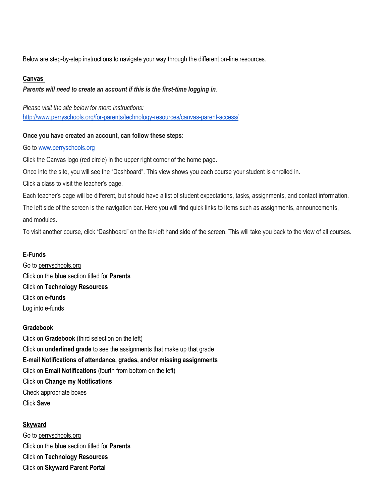Below are step-by-step instructions to navigate your way through the different on-line resources.

### **Canvas**

### *Parents will need to create an account if this is the first-time logging in.*

*Please visit the site below for more instructions:* <http://www.perryschools.org/for-parents/technology-resources/canvas-parent-access/>

### **Once you have created an account, can follow these steps:**

Go t[o www.perryschools.org](http://www.perryschools.org/)

Click the Canvas logo (red circle) in the upper right corner of the home page.

Once into the site, you will see the "Dashboard". This view shows you each course your student is enrolled in.

Click a class to visit the teacher's page.

Each teacher's page will be different, but should have a list of student expectations, tasks, assignments, and contact information. The left side of the screen is the navigation bar. Here you will find quick links to items such as assignments, announcements, and modules.

To visit another course, click "Dashboard" on the far-left hand side of the screen. This will take you back to the view of all courses.

### **E-Funds**

Go to perryschools.org Click on the **blue** section titled for **Parents** Click on **Technology Resources** Click on **e-funds**  Log into e-funds

### **Gradebook**

Click on **Gradebook** (third selection on the left) Click on **underlined grade** to see the assignments that make up that grade **E-mail Notifications of attendance, grades, and/or missing assignments** Click on **Email Notifications** (fourth from bottom on the left) Click on **Change my Notifications** Check appropriate boxes Click **Save**

**Skyward** Go to perryschools.org Click on the **blue** section titled for **Parents** Click on **Technology Resources** Click on **Skyward Parent Portal**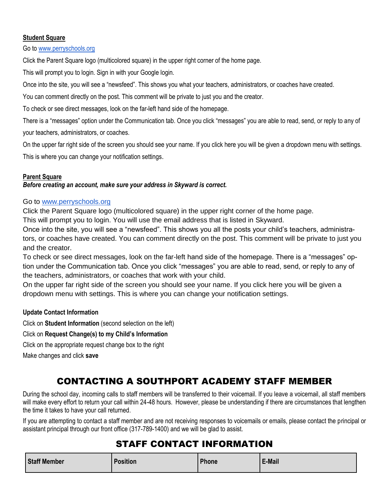### **Student Square**

Go t[o www.perryschools.org](http://www.perryschools.org/)

Click the Parent Square logo (multicolored square) in the upper right corner of the home page.

This will prompt you to login. Sign in with your Google login.

Once into the site, you will see a "newsfeed". This shows you what your teachers, administrators, or coaches have created.

You can comment directly on the post. This comment will be private to just you and the creator.

To check or see direct messages, look on the far-left hand side of the homepage.

There is a "messages" option under the Communication tab. Once you click "messages" you are able to read, send, or reply to any of your teachers, administrators, or coaches.

On the upper far right side of the screen you should see your name. If you click here you will be given a dropdown menu with settings. This is where you can change your notification settings.

### **Parent Square**

*Before creating an account, make sure your address in Skyward is correct.*

### Go to [www.perryschools.org](http://www.perryschools.org/)

Click the Parent Square logo (multicolored square) in the upper right corner of the home page.

This will prompt you to login. You will use the email address that is listed in Skyward.

Once into the site, you will see a "newsfeed". This shows you all the posts your child's teachers, administrators, or coaches have created. You can comment directly on the post. This comment will be private to just you and the creator.

To check or see direct messages, look on the far-left hand side of the homepage. There is a "messages" option under the Communication tab. Once you click "messages" you are able to read, send, or reply to any of the teachers, administrators, or coaches that work with your child.

On the upper far right side of the screen you should see your name. If you click here you will be given a dropdown menu with settings. This is where you can change your notification settings.

### **Update Contact Information**

Click on **Student Information** (second selection on the left)

Click on **Request Change(s) to my Child's Information**

Click on the appropriate request change box to the right

Make changes and click **save**

# CONTACTING A SOUTHPORT ACADEMY STAFF MEMBER

During the school day, incoming calls to staff members will be transferred to their voicemail. If you leave a voicemail, all staff members will make every effort to return your call within 24-48 hours. However, please be understanding if there are circumstances that lengthen the time it takes to have your call returned.

If you are attempting to contact a staff member and are not receiving responses to voicemails or emails, please contact the principal or assistant principal through our front office (317-789-1400) and we will be glad to assist.

# STAFF CONTACT INFORMATION

| <b>Staff Member</b> | <b>Position</b> | Phone | E-Mail |
|---------------------|-----------------|-------|--------|
|---------------------|-----------------|-------|--------|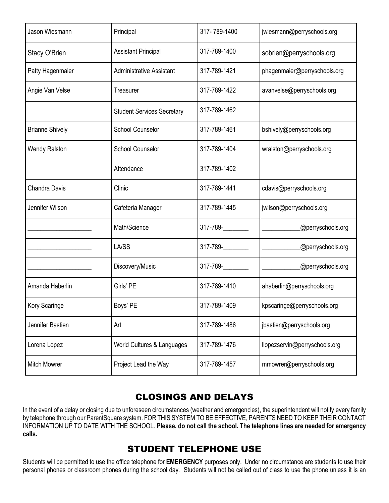| Jason Wiesmann         | Principal                         | 317-789-1400  | jwiesmann@perryschools.org    |  |
|------------------------|-----------------------------------|---------------|-------------------------------|--|
| Stacy O'Brien          | <b>Assistant Principal</b>        | 317-789-1400  | sobrien@perryschools.org      |  |
| Patty Hagenmaier       | <b>Administrative Assistant</b>   | 317-789-1421  | phagenmaier@perryschools.org  |  |
| Angie Van Velse        | Treasurer                         | 317-789-1422  | avanvelse@perryschools.org    |  |
|                        | <b>Student Services Secretary</b> | 317-789-1462  |                               |  |
| <b>Brianne Shively</b> | <b>School Counselor</b>           | 317-789-1461  | bshively@perryschools.org     |  |
| <b>Wendy Ralston</b>   | <b>School Counselor</b>           | 317-789-1404  | wralston@perryschools.org     |  |
|                        | Attendance                        | 317-789-1402  |                               |  |
| <b>Chandra Davis</b>   | Clinic                            | 317-789-1441  | cdavis@perryschools.org       |  |
| Jennifer Wilson        | Cafeteria Manager                 | 317-789-1445  | jwilson@perryschools.org      |  |
|                        | Math/Science                      | $317 - 789 -$ | @perryschools.org             |  |
|                        | LA/SS                             | $317 - 789 -$ | @perryschools.org             |  |
|                        | Discovery/Music                   | $317 - 789 -$ | @perryschools.org             |  |
| Amanda Haberlin        | Girls' PE                         | 317-789-1410  | ahaberlin@perryschools.org    |  |
| Kory Scaringe          | Boys' PE                          | 317-789-1409  | kpscaringe@perryschools.org   |  |
| Jennifer Bastien       | Art                               | 317-789-1486  | jbastien@perryschools.org     |  |
| Lorena Lopez           | World Cultures & Languages        | 317-789-1476  | llopezservin@perryschools.org |  |
| <b>Mitch Mowrer</b>    | Project Lead the Way              | 317-789-1457  | mmowrer@perryschools.org      |  |

# CLOSINGS AND DELAYS

In the event of a delay or closing due to unforeseen circumstances (weather and emergencies), the superintendent will notify every family by telephone through our ParentSquare system. FOR THIS SYSTEM TO BE EFFECTIVE, PARENTS NEED TO KEEP THEIR CONTACT INFORMATION UP TO DATE WITH THE SCHOOL. **Please, do not call the school. The telephone lines are needed for emergency calls.**

# STUDENT TELEPHONE USE

Students will be permitted to use the office telephone for **EMERGENCY** purposes only. Under no circumstance are students to use their personal phones or classroom phones during the school day. Students will not be called out of class to use the phone unless it is an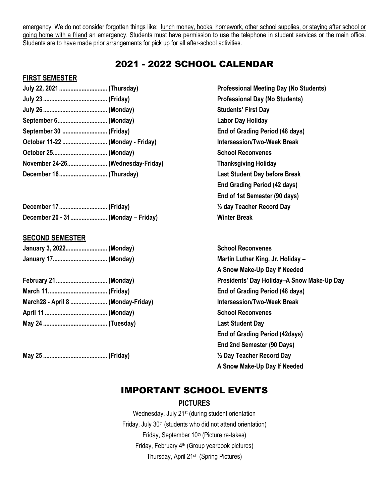emergency. We do not consider forgotten things like: lunch money, books, homework, other school supplies, or staying after school or going home with a friend an emergency. Students must have permission to use the telephone in student services or the main office. Students are to have made prior arrangements for pick up for all after-school activities.

# 2021 - 2022 SCHOOL CALENDAR

### **FIRST SEMESTER**

| July 22, 2021  (Thursday)        |  |
|----------------------------------|--|
|                                  |  |
|                                  |  |
|                                  |  |
| September 30  (Friday)           |  |
| October 11-22  (Monday - Friday) |  |
|                                  |  |
| November 24-26 (Wednesday-Friday |  |
|                                  |  |

| December 20 - 31 (Monday - Friday) |  |
|------------------------------------|--|

### **SECOND SEMESTER**

| January 3, 2022 (Monday) |  |
|--------------------------|--|
| January 17 (Monday)      |  |

| March28 - April 8  (Monday-Friday |  |
|-----------------------------------|--|
|                                   |  |
|                                   |  |

**May 25 ........................................ (Friday) ½ Day Teacher Record Day** 

**Professional Meeting Day (No Students) Professional Day (No Students) Students' First Day Labor Day Holiday End of Grading Period (48 days) October 11-22 ............................ (Monday - Friday) Intersession/Two-Week Break**  $School$  Reconvenes **November 24-26......................... (Wednesday-Friday) Thanksgiving Holiday Last Student Day before Break End Grading Period (42 days) End of 1st Semester (90 days) 1/<sub>2</sub> day Teacher Record Day December 20 - 31....................... (Monday – Friday) Winter Break**

**School Reconvenes Martin Luther King, Jr. Holiday – A Snow Make-Up Day If Needed February 21................................ (Monday) Presidents' Day Holiday–A Snow Make-Up Day March 11..................................... (Friday) End of Grading Period (48 days) March28 - April 8 ....................... (Monday-Friday) Intersession/Two-Week Break School Reconvenes Last Student Day End of Grading Period (42days) End 2nd Semester (90 Days) A Snow Make-Up Day If Needed**

# IMPORTANT SCHOOL EVENTS

### **PICTURES**

Wednesday, July 21<sup>st</sup> (during student orientation Friday, July 30<sup>th</sup> (students who did not attend orientation) Friday, September 10<sup>th</sup> (Picture re-takes) Friday, February 4<sup>th</sup> (Group yearbook pictures) Thursday, April 21<sup>st</sup> (Spring Pictures)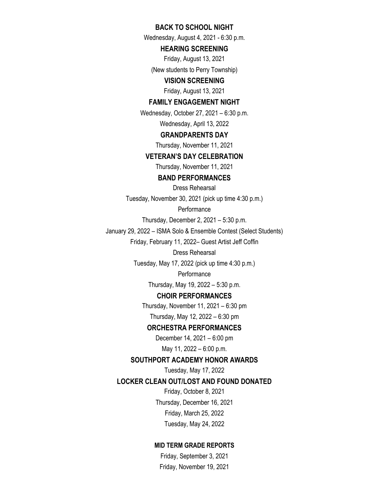### **BACK TO SCHOOL NIGHT**

Wednesday, August 4, 2021 - 6:30 p.m.

### **HEARING SCREENING**

Friday, August 13, 2021

(New students to Perry Township)

### **VISION SCREENING**

Friday, August 13, 2021

### **FAMILY ENGAGEMENT NIGHT**

Wednesday, October 27, 2021 – 6:30 p.m. Wednesday, April 13, 2022

#### **GRANDPARENTS DAY**

Thursday, November 11, 2021

#### **VETERAN'S DAY CELEBRATION**

Thursday, November 11, 2021

### **BAND PERFORMANCES**

Dress Rehearsal Tuesday, November 30, 2021 (pick up time 4:30 p.m.)

**Performance** 

Thursday, December 2, 2021 – 5:30 p.m.

January 29, 2022 – ISMA Solo & Ensemble Contest (Select Students)

Friday, February 11, 2022– Guest Artist Jeff Coffin

#### Dress Rehearsal

Tuesday, May 17, 2022 (pick up time 4:30 p.m.)

### **Performance**

Thursday, May 19, 2022 – 5:30 p.m.

### **CHOIR PERFORMANCES**

Thursday, November 11, 2021 – 6:30 pm Thursday, May 12, 2022 – 6:30 pm

### **ORCHESTRA PERFORMANCES**

December 14, 2021 – 6:00 pm May 11, 2022 – 6:00 p.m.

### **SOUTHPORT ACADEMY HONOR AWARDS**

Tuesday, May 17, 2022

### **LOCKER CLEAN OUT/LOST AND FOUND DONATED**

Friday, October 8, 2021 Thursday, December 16, 2021 Friday, March 25, 2022 Tuesday, May 24, 2022

### **MID TERM GRADE REPORTS**

Friday, September 3, 2021 Friday, November 19, 2021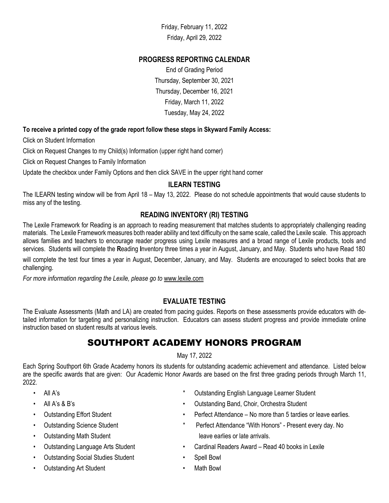Friday, February 11, 2022 Friday, April 29, 2022

### **PROGRESS REPORTING CALENDAR**

End of Grading Period Thursday, September 30, 2021 Thursday, December 16, 2021 Friday, March 11, 2022 Tuesday, May 24, 2022

### **To receive a printed copy of the grade report follow these steps in Skyward Family Access:**

Click on Student Information

Click on Request Changes to my Child(s) Information (upper right hand corner)

Click on Request Changes to Family Information

Update the checkbox under Family Options and then click SAVE in the upper right hand corner

### **ILEARN TESTING**

The ILEARN testing window will be from April 18 – May 13, 2022. Please do not schedule appointments that would cause students to miss any of the testing.

### **READING INVENTORY (RI) TESTING**

The Lexile Framework for Reading is an approach to reading measurement that matches students to appropriately challenging reading materials. The Lexile Framework measures both reader ability and text difficulty on the same scale, called the Lexile scale. This approach allows families and teachers to encourage reader progress using Lexile measures and a broad range of Lexile products, tools and services. Students will complete the **R**eading **I**nventory three times a year in August, January, and May. Students who have Read 180

will complete the test four times a year in August, December, January, and May. Students are encouraged to select books that are challenging.

*For more information regarding the Lexile, please go to www.lexile.com* 

### **EVALUATE TESTING**

The Evaluate Assessments (Math and LA) are created from pacing guides. Reports on these assessments provide educators with detailed information for targeting and personalizing instruction. Educators can assess student progress and provide immediate online instruction based on student results at various levels.

# SOUTHPORT ACADEMY HONORS PROGRAM

May 17, 2022

Each Spring Southport 6th Grade Academy honors its students for outstanding academic achievement and attendance. Listed below are the specific awards that are given: Our Academic Honor Awards are based on the first three grading periods through March 11, 2022.

- 
- 
- 
- 
- 
- 
- Outstanding Social Studies Student Spell Bowl
- Outstanding Art Student  **Math Bowl**
- All A's \* Outstanding English Language Learner Student
	- All A's & B's Outstanding Band, Choir, Orchestra Student
	- Outstanding Effort Student **•** Perfect Attendance No more than 5 tardies or leave earlies.
- Outstanding Science Student \* Perfect Attendance "With Honors" Present every day. No Outstanding Math Student leave earlies or late arrivals.
- Outstanding Language Arts Student Cardinal Readers Award Read 40 books in Lexile
	-
	-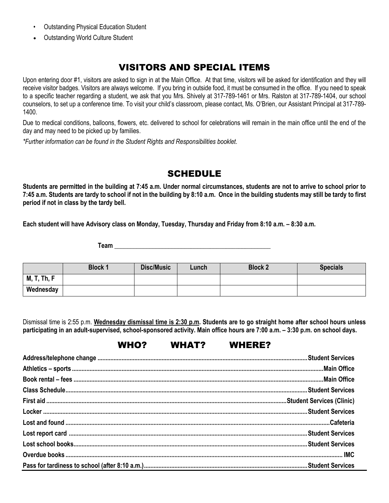- Outstanding Physical Education Student
- Outstanding World Culture Student

# VISITORS AND SPECIAL ITEMS

Upon entering door #1, visitors are asked to sign in at the Main Office. At that time, visitors will be asked for identification and they will receive visitor badges. Visitors are always welcome. If you bring in outside food, it must be consumed in the office. If you need to speak to a specific teacher regarding a student, we ask that you Mrs. Shively at 317-789-1461 or Mrs. Ralston at 317-789-1404, our school counselors, to set up a conference time. To visit your child's classroom, please contact, Ms. O'Brien, our Assistant Principal at 317-789- 1400.

Due to medical conditions, balloons, flowers, etc. delivered to school for celebrations will remain in the main office until the end of the day and may need to be picked up by families.

*\*Further information can be found in the Student Rights and Responsibilities booklet.*

### SCHEDULE

**Students are permitted in the building at 7:45 a.m. Under normal circumstances, students are not to arrive to school prior to 7:45 a.m. Students are tardy to school if not in the building by 8:10 a.m. Once in the building students may still be tardy to first period if not in class by the tardy bell.**

**Each student will have Advisory class on Monday, Tuesday, Thursday and Friday from 8:10 a.m. – 8:30 a.m.**

**Team Team** 

|                    | <b>Block 1</b> | Disc/Music | Lunch | <b>Block 2</b> | <b>Specials</b> |
|--------------------|----------------|------------|-------|----------------|-----------------|
| <b>M, T, Th, F</b> |                |            |       |                |                 |
| Wednesday          |                |            |       |                |                 |

Dismissal time is 2:55 p.m. **Wednesday dismissal time is 2:30 p.m. Students are to go straight home after school hours unless participating in an adult-supervised, school-sponsored activity. Main office hours are 7:00 a.m. – 3:30 p.m. on school days.**

# WHO? WHAT? WHERE?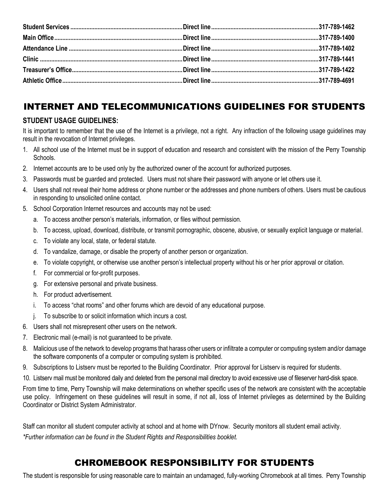# INTERNET AND TELECOMMUNICATIONS GUIDELINES FOR STUDENTS

### **STUDENT USAGE GUIDELINES:**

It is important to remember that the use of the Internet is a privilege, not a right. Any infraction of the following usage guidelines may result in the revocation of Internet privileges.

- 1. All school use of the Internet must be in support of education and research and consistent with the mission of the Perry Township Schools.
- 2. Internet accounts are to be used only by the authorized owner of the account for authorized purposes.
- 3. Passwords must be guarded and protected. Users must not share their password with anyone or let others use it.
- 4. Users shall not reveal their home address or phone number or the addresses and phone numbers of others. Users must be cautious in responding to unsolicited online contact.
- 5. School Corporation Internet resources and accounts may not be used:
	- a. To access another person's materials, information, or files without permission.
	- b. To access, upload, download, distribute, or transmit pornographic, obscene, abusive, or sexually explicit language or material.
	- c. To violate any local, state, or federal statute.
	- d. To vandalize, damage, or disable the property of another person or organization.
	- e. To violate copyright, or otherwise use another person's intellectual property without his or her prior approval or citation.
	- f. For commercial or for-profit purposes.
	- g. For extensive personal and private business.
	- h. For product advertisement.
	- i. To access "chat rooms" and other forums which are devoid of any educational purpose.
	- j. To subscribe to or solicit information which incurs a cost.
- 6. Users shall not misrepresent other users on the network.
- 7. Electronic mail (e-mail) is not guaranteed to be private.
- 8. Malicious use of the network to develop programs that harass other users or infiltrate a computer or computing system and/or damage the software components of a computer or computing system is prohibited.
- 9. Subscriptions to Listserv must be reported to the Building Coordinator. Prior approval for Listserv is required for students.
- 10. Listserv mail must be monitored daily and deleted from the personal mail directory to avoid excessive use of fileserver hard-disk space.

From time to time, Perry Township will make determinations on whether specific uses of the network are consistent with the acceptable use policy. Infringement on these guidelines will result in some, if not all, loss of Internet privileges as determined by the Building Coordinator or District System Administrator.

Staff can monitor all student computer activity at school and at home with DYnow. Security monitors all student email activity. *\*Further information can be found in the Student Rights and Responsibilities booklet.*

# CHROMEBOOK RESPONSIBILITY FOR STUDENTS

The student is responsible for using reasonable care to maintain an undamaged, fully-working Chromebook at all times. Perry Township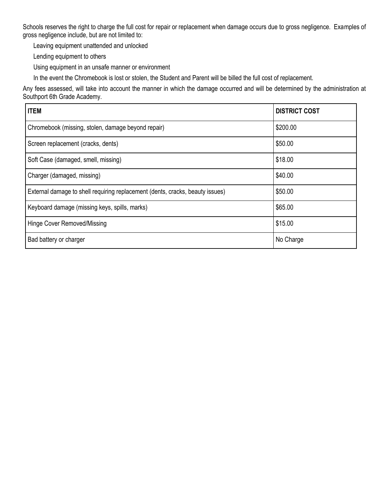Schools reserves the right to charge the full cost for repair or replacement when damage occurs due to gross negligence. Examples of gross negligence include, but are not limited to:

Leaving equipment unattended and unlocked

Lending equipment to others

Using equipment in an unsafe manner or environment

In the event the Chromebook is lost or stolen, the Student and Parent will be billed the full cost of replacement.

Any fees assessed, will take into account the manner in which the damage occurred and will be determined by the administration at Southport 6th Grade Academy.

| <b>ITEM</b>                                                                   | <b>DISTRICT COST</b> |
|-------------------------------------------------------------------------------|----------------------|
| Chromebook (missing, stolen, damage beyond repair)                            | \$200.00             |
| Screen replacement (cracks, dents)                                            | \$50.00              |
| Soft Case (damaged, smell, missing)                                           | \$18.00              |
| Charger (damaged, missing)                                                    | \$40.00              |
| External damage to shell requiring replacement (dents, cracks, beauty issues) | \$50.00              |
| Keyboard damage (missing keys, spills, marks)                                 | \$65.00              |
| Hinge Cover Removed/Missing                                                   | \$15.00              |
| Bad battery or charger                                                        | No Charge            |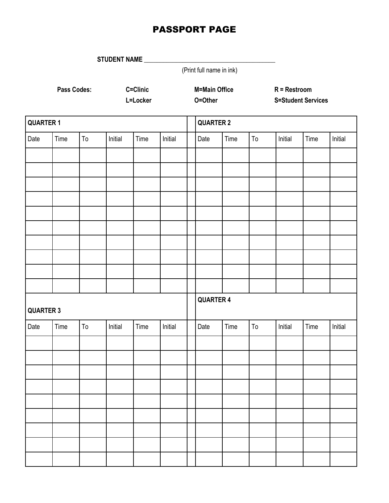# PASSPORT PAGE

**STUDENT NAME \_\_\_\_\_\_\_\_\_\_\_\_\_\_\_\_\_\_\_\_\_\_\_\_\_\_\_\_\_\_\_\_\_\_\_\_\_\_\_\_\_**

(Print full name in ink)

**Pass Codes: C=Clinic M=Main Office R = Restroom**

**L=Locker O=Other S=Student Services**

| <b>QUARTER 1</b> |      |            | <b>QUARTER 2</b> |      |         |                  |      |            |         |      |         |
|------------------|------|------------|------------------|------|---------|------------------|------|------------|---------|------|---------|
| Date             | Time | ${\tt To}$ | Initial          | Time | Initial | Date             | Time | ${\tt To}$ | Initial | Time | Initial |
|                  |      |            |                  |      |         |                  |      |            |         |      |         |
|                  |      |            |                  |      |         |                  |      |            |         |      |         |
|                  |      |            |                  |      |         |                  |      |            |         |      |         |
|                  |      |            |                  |      |         |                  |      |            |         |      |         |
|                  |      |            |                  |      |         |                  |      |            |         |      |         |
|                  |      |            |                  |      |         |                  |      |            |         |      |         |
|                  |      |            |                  |      |         |                  |      |            |         |      |         |
|                  |      |            |                  |      |         |                  |      |            |         |      |         |
|                  |      |            |                  |      |         |                  |      |            |         |      |         |
|                  |      |            |                  |      |         |                  |      |            |         |      |         |
| <b>QUARTER 3</b> |      |            |                  |      |         | <b>QUARTER 4</b> |      |            |         |      |         |
| Date             | Time | ${\tt To}$ | Initial          | Time | Initial | Date             | Time | ${\tt To}$ | Initial | Time | Initial |
|                  |      |            |                  |      |         |                  |      |            |         |      |         |
|                  |      |            |                  |      |         |                  |      |            |         |      |         |
|                  |      |            |                  |      |         |                  |      |            |         |      |         |
|                  |      |            |                  |      |         |                  |      |            |         |      |         |
|                  |      |            |                  |      |         |                  |      |            |         |      |         |
|                  |      |            |                  |      |         |                  |      |            |         |      |         |
|                  |      |            |                  |      |         |                  |      |            |         |      |         |
|                  |      |            |                  |      |         |                  |      |            |         |      |         |
|                  |      |            |                  |      |         |                  |      |            |         |      |         |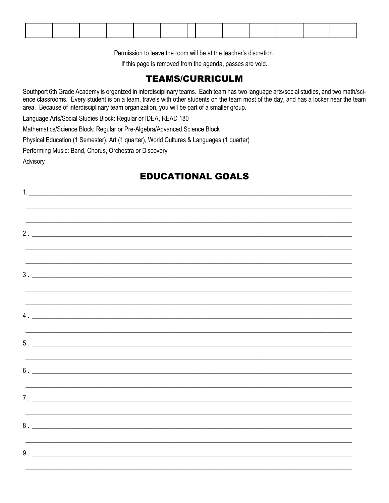Permission to leave the room will be at the teacher's discretion.

If this page is removed from the agenda, passes are void.

# **TEAMS/CURRICULM**

Southport 6th Grade Academy is organized in interdisciplinary teams. Each team has two language arts/social studies, and two math/science classrooms. Every student is on a team, travels with other students on the team most of the day, and has a locker near the team area. Because of interdisciplinary team organization, you will be part of a smaller group.

Language Arts/Social Studies Block: Regular or IDEA, READ 180

Mathematics/Science Block: Regular or Pre-Algebra/Advanced Science Block

Physical Education (1 Semester), Art (1 quarter), World Cultures & Languages (1 quarter)

Performing Music: Band, Chorus, Orchestra or Discovery

Advisory

# **EDUCATIONAL GOALS**

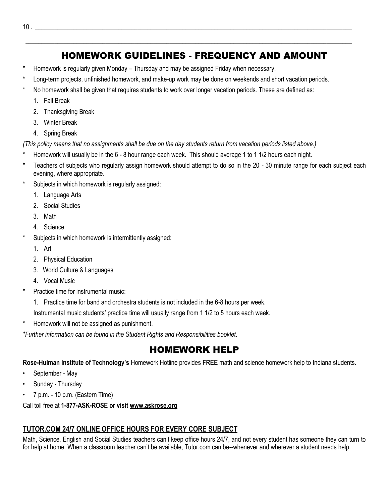# HOMEWORK GUIDELINES - FREQUENCY AND AMOUNT

\_\_\_\_\_\_\_\_\_\_\_\_\_\_\_\_\_\_\_\_\_\_\_\_\_\_\_\_\_\_\_\_\_\_\_\_\_\_\_\_\_\_\_\_\_\_\_\_\_\_\_\_\_\_\_\_\_\_\_\_\_\_\_\_\_\_\_\_\_\_\_\_\_\_\_\_\_\_\_\_\_\_\_\_\_\_\_\_\_\_\_\_\_\_\_\_\_\_\_\_\_\_

- Homework is regularly given Monday Thursday and may be assigned Friday when necessary.
- Long-term projects, unfinished homework, and make-up work may be done on weekends and short vacation periods.
- No homework shall be given that requires students to work over longer vacation periods. These are defined as:
	- 1. Fall Break
	- 2. Thanksgiving Break
	- 3. Winter Break
	- 4. Spring Break

*(This policy means that no assignments shall be due on the day students return from vacation periods listed above.)*

- Homework will usually be in the 6 8 hour range each week. This should average 1 to 1 1/2 hours each night.
- Teachers of subjects who regularly assign homework should attempt to do so in the 20 30 minute range for each subject each evening, where appropriate.
- Subjects in which homework is regularly assigned:
	- 1. Language Arts
	- 2. Social Studies
	- 3. Math
	- 4. Science
- Subjects in which homework is intermittently assigned:
	- 1. Art
	- 2. Physical Education
	- 3. World Culture & Languages
	- 4. Vocal Music
- Practice time for instrumental music:
	- 1. Practice time for band and orchestra students is not included in the 6-8 hours per week.
	- Instrumental music students' practice time will usually range from 1 1/2 to 5 hours each week.
- \* Homework will not be assigned as punishment.

*\*Further information can be found in the Student Rights and Responsibilities booklet.*

# HOMEWORK HELP

**Rose-Hulman Institute of Technology's** Homework Hotline provides **FREE** math and science homework help to Indiana students.

- September May
- Sunday Thursday
- 7 p.m. 10 p.m. (Eastern Time)

Call toll free at **1-877-ASK-ROSE or visit www.askrose.org**

### **TUTOR.COM 24/7 ONLINE OFFICE HOURS FOR EVERY CORE SUBJECT**

Math, Science, English and Social Studies teachers can't keep office hours 24/7, and not every student has someone they can turn to for help at home. When a classroom teacher can't be available, Tutor.com can be--whenever and wherever a student needs help.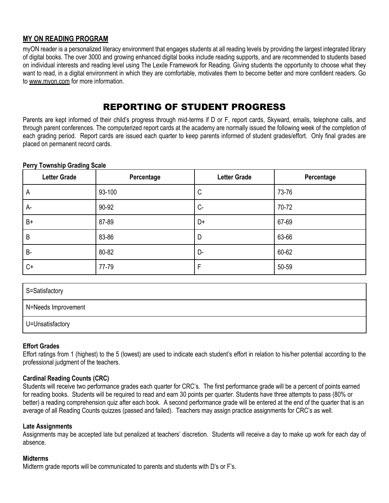### **MY ON READING PROGRAM**

myON reader is a personalized literacy environment that engages students at all reading levels by providing the largest integrated library of digital books. The over 3000 and growing enhanced digital books include reading supports, and are recommended to students based on individual interests and reading level using The Lexile Framework for Reading. Giving students the opportunity to choose what they want to read, in a digital environment in which they are comfortable, motivates them to become better and more confident readers. Go to www.myon.com for more information.

# REPORTING OF STUDENT PROGRESS

Parents are kept informed of their child's progress through mid-terms if D or F, report cards, Skyward, emails, telephone calls, and through parent conferences. The computerized report cards at the academy are normally issued the following week of the completion of each grading period. Report cards are issued each quarter to keep parents informed of student grades/effort. Only final grades are placed on permanent record cards.

| <b>Letter Grade</b> | Percentage | <b>Letter Grade</b> | Percentage |
|---------------------|------------|---------------------|------------|
| $\overline{A}$      | 93-100     | C                   | 73-76      |
| $A-$                | 90-92      | $C -$               | 70-72      |
| $B+$                | 87-89      | D+                  | 67-69      |
| $\overline{B}$      | 83-86      | D                   | 63-66      |
| <b>B-</b>           | 80-82      | D-                  | 60-62      |
| $C+$                | 77-79      | F                   | 50-59      |

### **Perry Township Grading Scale**

| S=Satisfactory      |
|---------------------|
| N=Needs Improvement |
| U=Unsatisfactory    |

### **Effort Grades**

Effort ratings from 1 (highest) to the 5 (lowest) are used to indicate each student's effort in relation to his/her potential according to the professional judgment of the teachers.

### **Cardinal Reading Counts (CRC)**

Students will receive two performance grades each quarter for CRC's. The first performance grade will be a percent of points earned for reading books. Students will be required to read and earn 30 points per quarter. Students have three attempts to pass (80% or better) a reading comprehension quiz after each book. A second performance grade will be entered at the end of the quarter that is an average of all Reading Counts quizzes (passed and failed). Teachers may assign practice assignments for CRC's as well.

### **Late Assignments**

Assignments may be accepted late but penalized at teachers' discretion. Students will receive a day to make up work for each day of absence.

### **Midterms**

Midterm grade reports will be communicated to parents and students with D's or F's.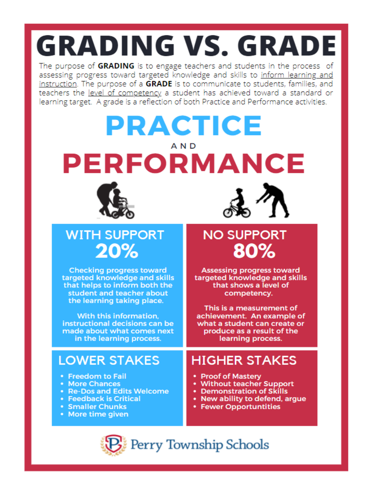# **GRADING VS. GRADE**

The purpose of GRADING is to engage teachers and students in the process of assessing progress toward targeted knowledge and skills to inform learning and instruction. The purpose of a GRADE is to communicate to students, families, and teachers the level of competency a student has achieved toward a standard or learning target. A grade is a reflection of both Practice and Performance activities.

# PRACTICE AND **PERFORMANCE**





# **WITH SUPPORT**  $20%$

**Checking progress toward** targeted knowledge and skills that helps to inform both the student and teacher about the learning taking place.

With this information. instructional decisions can be made about what comes next in the learning process.

# **LOWER STAKES**

- Freedom to Fail
- More Chances
- Re-Dos and Edits Welcome
- Feedback is Critical
- **Smaller Chunks**
- More time given

# **NO SUPPORT**  $80\%$

**Assessing progress toward** targeted knowledge and skills that shows a level of competency.

This is a measurement of achievement. An example of what a student can create or produce as a result of the learning process.

# **HIGHER STAKES**

- Proof of Mastery
- Without teacher Support
- Demonstration of Skills
- New ability to defend, argue
- **Fewer Opportuntities**

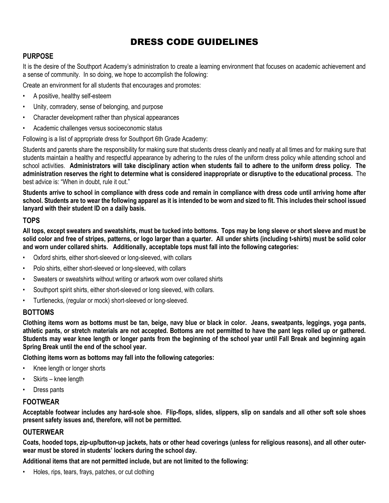# DRESS CODE GUIDELINES

### **PURPOSE**

It is the desire of the Southport Academy's administration to create a learning environment that focuses on academic achievement and a sense of community. In so doing, we hope to accomplish the following:

Create an environment for all students that encourages and promotes:

- A positive, healthy self-esteem
- Unity, comradery, sense of belonging, and purpose
- Character development rather than physical appearances
- Academic challenges versus socioeconomic status

Following is a list of appropriate dress for Southport 6th Grade Academy:

Students and parents share the responsibility for making sure that students dress cleanly and neatly at all times and for making sure that students maintain a healthy and respectful appearance by adhering to the rules of the uniform dress policy while attending school and school activities. **Administrators will take disciplinary action when students fail to adhere to the uniform dress policy. The administration reserves the right to determine what is considered inappropriate or disruptive to the educational process.** The best advice is: "When in doubt, rule it out."

**Students arrive to school in compliance with dress code and remain in compliance with dress code until arriving home after school. Students are to wear the following apparel as it is intended to be worn and sized to fit. This includes their school issued lanyard with their student ID on a daily basis.**

### **TOPS**

**All tops, except sweaters and sweatshirts, must be tucked into bottoms. Tops may be long sleeve or short sleeve and must be solid color and free of stripes, patterns, or logo larger than a quarter. All under shirts (including t-shirts) must be solid color and worn under collared shirts. Additionally, acceptable tops must fall into the following categories:**

- Oxford shirts, either short-sleeved or long-sleeved, with collars
- Polo shirts, either short-sleeved or long-sleeved, with collars
- Sweaters or sweatshirts without writing or artwork worn over collared shirts
- Southport spirit shirts, either short-sleeved or long sleeved, with collars.
- Turtlenecks, (regular or mock) short-sleeved or long-sleeved.

### **BOTTOMS**

**Clothing items worn as bottoms must be tan, beige, navy blue or black in color. Jeans, sweatpants, leggings, yoga pants, athletic pants, or stretch materials are not accepted. Bottoms are not permitted to have the pant legs rolled up or gathered. Students may wear knee length or longer pants from the beginning of the school year until Fall Break and beginning again Spring Break until the end of the school year.** 

**Clothing items worn as bottoms may fall into the following categories:**

- Knee length or longer shorts
- Skirts knee length
- Dress pants

### **FOOTWEAR**

**Acceptable footwear includes any hard-sole shoe. Flip-flops, slides, slippers, slip on sandals and all other soft sole shoes present safety issues and, therefore, will not be permitted.**

### **OUTERWEAR**

**Coats, hooded tops, zip-up/button-up jackets, hats or other head coverings (unless for religious reasons), and all other outerwear must be stored in students' lockers during the school day.**

**Additional items that are not permitted include, but are not limited to the following:**

• Holes, rips, tears, frays, patches, or cut clothing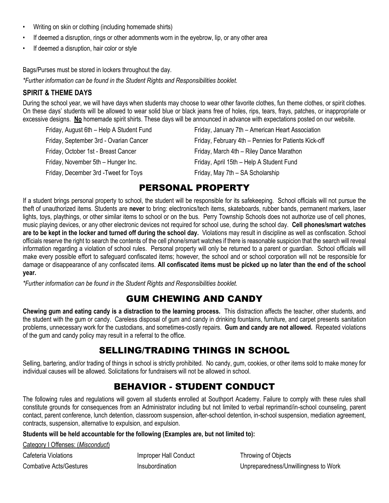- Writing on skin or clothing (including homemade shirts)
- If deemed a disruption, rings or other adornments worn in the eyebrow, lip, or any other area
- If deemed a disruption, hair color or style

Bags/Purses must be stored in lockers throughout the day.

*\*Further information can be found in the Student Rights and Responsibilities booklet.*

### **SPIRIT & THEME DAYS**

During the school year, we will have days when students may choose to wear other favorite clothes, fun theme clothes, or spirit clothes. On these days' students will be allowed to wear solid blue or black jeans free of holes, rips, tears, frays, patches, or inappropriate or excessive designs. No homemade spirit shirts. These days will be announced in advance with expectations posted on our website.

| Friday, August 6th - Help A Student Fund | Friday, January 7th - American Heart Association     |
|------------------------------------------|------------------------------------------------------|
| Friday, September 3rd - Ovarian Cancer   | Friday, February 4th - Pennies for Patients Kick-off |
| Friday, October 1st - Breast Cancer      | Friday, March 4th - Riley Dance Marathon             |
| Friday, November 5th - Hunger Inc.       | Friday, April 15th - Help A Student Fund             |
| Friday, December 3rd - Tweet for Toys    | Friday, May 7th - SA Scholarship                     |

# PERSONAL PROPERTY

If a student brings personal property to school, the student will be responsible for its safekeeping. School officials will not pursue the theft of unauthorized items. Students are **never** to bring: electronics/tech items, skateboards, rubber bands, permanent markers, laser lights, toys, playthings, or other similar items to school or on the bus. Perry Township Schools does not authorize use of cell phones, music playing devices, or any other electronic devices not required for school use, during the school day. **Cell phones/smart watches are to be kept in the locker and turned off during the school day.** Violations may result in discipline as well as confiscation. School officials reserve the right to search the contents of the cell phone/smart watches if there is reasonable suspicion that the search will reveal information regarding a violation of school rules. Personal property will only be returned to a parent or guardian. School officials will make every possible effort to safeguard confiscated items; however, the school and or school corporation will not be responsible for damage or disappearance of any confiscated items. **All confiscated items must be picked up no later than the end of the school year.**

*\*Further information can be found in the Student Rights and Responsibilities booklet.*

# GUM CHEWING AND CANDY

**Chewing gum and eating candy is a distraction to the learning process.** This distraction affects the teacher, other students, and the student with the gum or candy. Careless disposal of gum and candy in drinking fountains, furniture, and carpet presents sanitation problems, unnecessary work for the custodians, and sometimes-costly repairs. **Gum and candy are not allowed.** Repeated violations of the gum and candy policy may result in a referral to the office.

# SELLING/TRADING THINGS IN SCHOOL

Selling, bartering, and/or trading of things in school is strictly prohibited. No candy, gum, cookies, or other items sold to make money for individual causes will be allowed. Solicitations for fundraisers will not be allowed in school.

# BEHAVIOR - STUDENT CONDUCT

The following rules and regulations will govern all students enrolled at Southport Academy. Failure to comply with these rules shall constitute grounds for consequences from an Administrator including but not limited to verbal reprimand/in-school counseling, parent contact, parent conference, lunch detention, classroom suspension, after-school detention, in-school suspension, mediation agreement, contracts, suspension, alternative to expulsion, and expulsion.

### **Students will be held accountable for the following (Examples are, but not limited to):**

| Category   Offenses: (Misconduct) |  |
|-----------------------------------|--|
| Cafeteria Violations              |  |
| <b>Combative Acts/Gestures</b>    |  |

Improper Hall Conduct Throwing of Objects

Insubordination **Combative Acts** Unpreparedness/Unwillingness to Work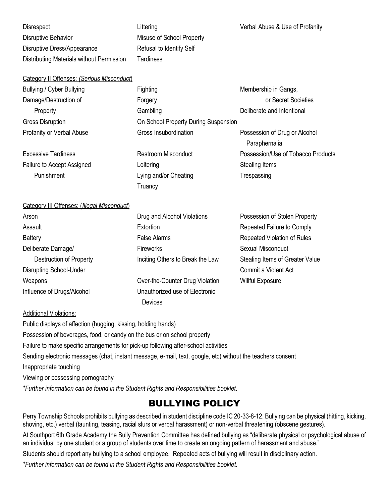Disrespect **Littering Community Community** Littering Verbal Abuse & Use of Profanity Disruptive Behavior **Misuse of School Property** Disruptive Dress/Appearance Refusal to Identify Self Distributing Materials without Permission Tardiness

#### Category II Offenses: *(Serious Misconduct*)

Bullying / Cyber Bullying **Membership in Gangs,** Fighting Membership in Gangs,

Failure to Accept Assigned **Stealing Loitering** Context Context Assigned Stealing Items Punishment **Trespassing** Lying and/or Cheating Trespassing

Damage/Destruction of The Research Control of Forgery Control of Secret Societies Property **Cambling** Cambling Deliberate and Intentional Gross Disruption **Calcular Connect Connect Connect Connect Connect Connect Connect Connect Connect Connect Connect Connect Connect Connect Connect Connect Connect Connect Connect Connect Connect Connect Connect Connect Con** Profanity or Verbal Abuse **Gross Insubordination** Possession of Drug or Alcohol

**Truancy** 

 Paraphernalia Excessive Tardiness **Restroom Misconduct** Possession/Use of Tobacco Products

### Category III Offenses: (*Illegal Misconduct*)

| Arson                          | Drug and Alcohol Violations      | Possession of Stolen Property   |
|--------------------------------|----------------------------------|---------------------------------|
| Assault                        | Extortion                        | Repeated Failure to Comply      |
| <b>Battery</b>                 | <b>False Alarms</b>              | Repeated Violation of Rules     |
| Deliberate Damage/             | <b>Fireworks</b>                 | Sexual Misconduct               |
| Destruction of Property        | Inciting Others to Break the Law | Stealing Items of Greater Value |
| <b>Disrupting School-Under</b> |                                  | Commit a Violent Act            |
| Weapons                        | Over-the-Counter Drug Violation  | <b>Willful Exposure</b>         |
| Influence of Drugs/Alcohol     | Unauthorized use of Electronic   |                                 |
|                                | Devices                          |                                 |

### Additional Violations:

Public displays of affection (hugging, kissing, holding hands) Possession of beverages, food, or candy on the bus or on school property Failure to make specific arrangements for pick-up following after-school activities Sending electronic messages (chat, instant message, e-mail, text, google, etc) without the teachers consent Inappropriate touching Viewing or possessing pornography *\*Further information can be found in the Student Rights and Responsibilities booklet.*

### BULLYING POLICY

Perry Township Schools prohibits bullying as described in student discipline code IC 20-33-8-12. Bullying can be physical (hitting, kicking, shoving, etc.) verbal (taunting, teasing, racial slurs or verbal harassment) or non-verbal threatening (obscene gestures).

At Southport 6th Grade Academy the Bully Prevention Committee has defined bullying as "deliberate physical or psychological abuse of an individual by one student or a group of students over time to create an ongoing pattern of harassment and abuse."

Students should report any bullying to a school employee. Repeated acts of bullying will result in disciplinary action.

*\*Further information can be found in the Student Rights and Responsibilities booklet.*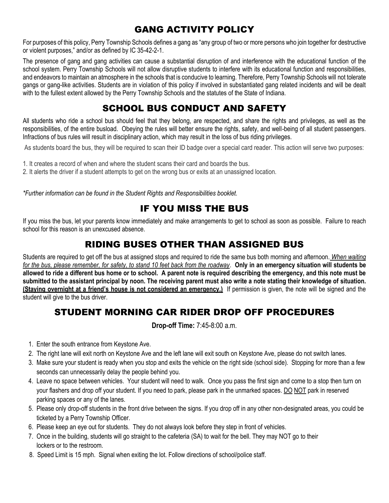# GANG ACTIVITY POLICY

For purposes of this policy, Perry Township Schools defines a gang as "any group of two or more persons who join together for destructive or violent purposes," and/or as defined by IC 35-42-2-1.

The presence of gang and gang activities can cause a substantial disruption of and interference with the educational function of the school system. Perry Township Schools will not allow disruptive students to interfere with its educational function and responsibilities, and endeavors to maintain an atmosphere in the schools that is conducive to learning. Therefore, Perry Township Schools will not tolerate gangs or gang-like activities. Students are in violation of this policy if involved in substantiated gang related incidents and will be dealt with to the fullest extent allowed by the Perry Township Schools and the statutes of the State of Indiana.

# SCHOOL BUS CONDUCT AND SAFETY

All students who ride a school bus should feel that they belong, are respected, and share the rights and privileges, as well as the responsibilities, of the entire busload. Obeying the rules will better ensure the rights, safety, and well-being of all student passengers. Infractions of bus rules will result in disciplinary action, which may result in the loss of bus riding privileges.

As students board the bus, they will be required to scan their ID badge over a special card reader. This action will serve two purposes:

- 1. It creates a record of when and where the student scans their card and boards the bus.
- 2. It alerts the driver if a student attempts to get on the wrong bus or exits at an unassigned location.

*\*Further information can be found in the Student Rights and Responsibilities booklet.*

# IF YOU MISS THE BUS

If you miss the bus, let your parents know immediately and make arrangements to get to school as soon as possible. Failure to reach school for this reason is an unexcused absence.

# RIDING BUSES OTHER THAN ASSIGNED BUS

Students are required to get off the bus at assigned stops and required to ride the same bus both morning and afternoon. *When waiting for the bus, please remember, for safety, to stand 10 feet back from the roadway*. **Only in an emergency situation will students be allowed to ride a different bus home or to school. A parent note is required describing the emergency, and this note must be submitted to the assistant principal by noon. The receiving parent must also write a note stating their knowledge of situation. (Staying overnight at a friend's house is not considered an emergency.)** If permission is given, the note will be signed and the student will give to the bus driver.

# STUDENT MORNING CAR RIDER DROP OFF PROCEDURES

**Drop-off Time:** 7:45-8:00 a.m.

- 1. Enter the south entrance from Keystone Ave.
- 2. The right lane will exit north on Keystone Ave and the left lane will exit south on Keystone Ave, please do not switch lanes.
- 3. Make sure your student is ready when you stop and exits the vehicle on the right side (school side). Stopping for more than a few seconds can unnecessarily delay the people behind you.
- 4. Leave no space between vehicles. Your student will need to walk. Once you pass the first sign and come to a stop then turn on your flashers and drop off your student. If you need to park, please park in the unmarked spaces. DO NOT park in reserved parking spaces or any of the lanes.
- 5. Please only drop-off students in the front drive between the signs. If you drop off in any other non-designated areas, you could be ticketed by a Perry Township Officer.
- 6. Please keep an eye out for students. They do not always look before they step in front of vehicles.
- 7. Once in the building, students will go straight to the cafeteria (SA) to wait for the bell. They may NOT go to their lockers or to the restroom.
- 8. Speed Limit is 15 mph. Signal when exiting the lot. Follow directions of school/police staff.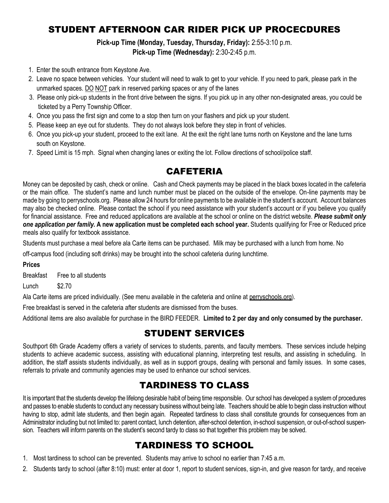# STUDENT AFTERNOON CAR RIDER PICK UP PROCECDURES

# **Pick-up Time (Monday, Tuesday, Thursday, Friday):** 2:55-3:10 p.m.

**Pick-up Time (Wednesday):** 2:30-2:45 p.m.

- 1. Enter the south entrance from Keystone Ave.
- 2. Leave no space between vehicles. Your student will need to walk to get to your vehicle. If you need to park, please park in the unmarked spaces. DO NOT park in reserved parking spaces or any of the lanes
- 3. Please only pick-up students in the front drive between the signs. If you pick up in any other non-designated areas, you could be ticketed by a Perry Township Officer.
- 4. Once you pass the first sign and come to a stop then turn on your flashers and pick up your student.
- 5. Please keep an eye out for students. They do not always look before they step in front of vehicles.
- 6. Once you pick-up your student, proceed to the exit lane. At the exit the right lane turns north on Keystone and the lane turns south on Keystone.
- 7. Speed Limit is 15 mph. Signal when changing lanes or exiting the lot. Follow directions of school/police staff.

# CAFETERIA

Money can be deposited by cash, check or online. Cash and Check payments may be placed in the black boxes located in the cafeteria or the main office. The student's name and lunch number must be placed on the outside of the envelope. On-line payments may be made by going to perryschools.org. Please allow 24 hours for online payments to be available in the student's account. Account balances may also be checked online. Please contact the school if you need assistance with your student's account or if you believe you qualify for financial assistance. Free and reduced applications are available at the school or online on the district website. *Please submit only one application per family.* **A new application must be completed each school year.** Students qualifying for Free or Reduced price meals also qualify for textbook assistance.

Students must purchase a meal before ala Carte items can be purchased. Milk may be purchased with a lunch from home. No

off-campus food (including soft drinks) may be brought into the school cafeteria during lunchtime.

### **Prices**

Breakfast Free to all students

Lunch \$2.70

Ala Carte items are priced individually. (See menu available in the cafeteria and online at perryschools.org).

Free breakfast is served in the cafeteria after students are dismissed from the buses.

Additional items are also available for purchase in the BIRD FEEDER. **Limited to 2 per day and only consumed by the purchaser.**

### STUDENT SERVICES

Southport 6th Grade Academy offers a variety of services to students, parents, and faculty members. These services include helping students to achieve academic success, assisting with educational planning, interpreting test results, and assisting in scheduling. In addition, the staff assists students individually, as well as in support groups, dealing with personal and family issues. In some cases, referrals to private and community agencies may be used to enhance our school services.

# TARDINESS TO CLASS

It is important that the students develop the lifelong desirable habit of being time responsible. Our school has developed a system of procedures and passes to enable students to conduct any necessary business without being late. Teachers should be able to begin class instruction without having to stop, admit late students, and then begin again. Repeated tardiness to class shall constitute grounds for consequences from an Administrator including but not limited to: parent contact, lunch detention, after-school detention, in-school suspension, or out-of-school suspension. Teachers will inform parents on the student's second tardy to class so that together this problem may be solved.

# TARDINESS TO SCHOOL

- 1. Most tardiness to school can be prevented. Students may arrive to school no earlier than 7:45 a.m.
- 2. Students tardy to school (after 8:10) must: enter at door 1, report to student services, sign-in, and give reason for tardy, and receive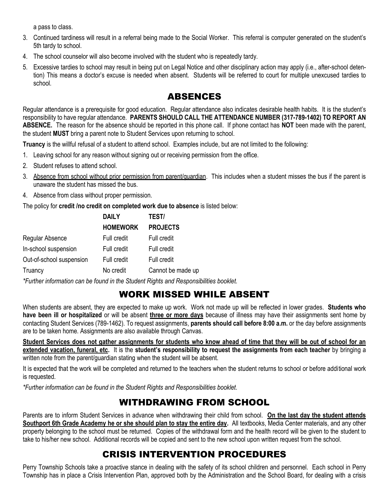a pass to class.

- 3. Continued tardiness will result in a referral being made to the Social Worker. This referral is computer generated on the student's 5th tardy to school.
- 4. The school counselor will also become involved with the student who is repeatedly tardy.
- 5. Excessive tardies to school may result in being put on Legal Notice and other disciplinary action may apply (i.e., after-school detention) This means a doctor's excuse is needed when absent. Students will be referred to court for multiple unexcused tardies to school.

# ABSENCES

Regular attendance is a prerequisite for good education. Regular attendance also indicates desirable health habits. It is the student's responsibility to have regular attendance. **PARENTS SHOULD CALL THE ATTENDANCE NUMBER (317-789-1402) TO REPORT AN ABSENCE.** The reason for the absence should be reported in this phone call. If phone contact has **NOT** been made with the parent, the student **MUST** bring a parent note to Student Services upon returning to school.

**Truancy** is the willful refusal of a student to attend school. Examples include, but are not limited to the following:

- 1. Leaving school for any reason without signing out or receiving permission from the office.
- 2. Student refuses to attend school.
- 3. Absence from school without prior permission from parent/guardian. This includes when a student misses the bus if the parent is unaware the student has missed the bus.
- 4. Absence from class without proper permission.

The policy for **credit /no credit on completed work due to absence** is listed below:

|                          | <b>DAILY</b>       | TEST/             |
|--------------------------|--------------------|-------------------|
|                          | <b>HOMEWORK</b>    | <b>PROJECTS</b>   |
| Regular Absence          | Full credit        | Full credit       |
| In-school suspension     | Full credit        | Full credit       |
| Out-of-school suspension | <b>Full credit</b> | Full credit       |
| Truancy                  | No credit          | Cannot be made up |

*\*Further information can be found in the Student Rights and Responsibilities booklet.*

# WORK MISSED WHILE ABSENT

When students are absent, they are expected to make up work. Work not made up will be reflected in lower grades. **Students who have been ill or hospitalized** or will be absent **three or more days** because of illness may have their assignments sent home by contacting Student Services (789-1462). To request assignments, **parents should call before 8:00 a.m.** or the day before assignments are to be taken home. Assignments are also available through Canvas.

**Student Services does not gather assignments for students who know ahead of time that they will be out of school for an extended vacation, funeral, etc.** It is the **student's responsibility to request the assignments from each teacher** by bringing a written note from the parent/guardian stating when the student will be absent.

It is expected that the work will be completed and returned to the teachers when the student returns to school or before additional work is requested.

*\*Further information can be found in the Student Rights and Responsibilities booklet.*

# WITHDRAWING FROM SCHOOL

Parents are to inform Student Services in advance when withdrawing their child from school. **On the last day the student attends Southport 6th Grade Academy he or she should plan to stay the entire day.** All textbooks, Media Center materials, and any other property belonging to the school must be returned. Copies of the withdrawal form and the health record will be given to the student to take to his/her new school. Additional records will be copied and sent to the new school upon written request from the school.

# CRISIS INTERVENTION PROCEDURES

Perry Township Schools take a proactive stance in dealing with the safety of its school children and personnel. Each school in Perry Township has in place a Crisis Intervention Plan, approved both by the Administration and the School Board, for dealing with a crisis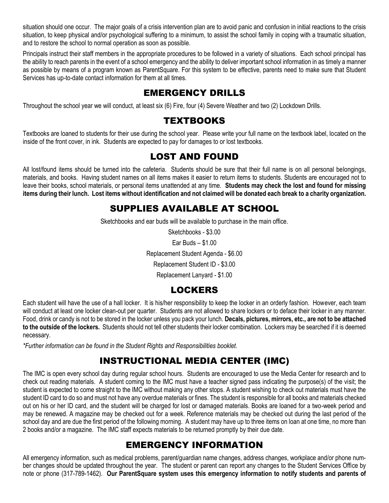situation should one occur. The major goals of a crisis intervention plan are to avoid panic and confusion in initial reactions to the crisis situation, to keep physical and/or psychological suffering to a minimum, to assist the school family in coping with a traumatic situation, and to restore the school to normal operation as soon as possible.

Principals instruct their staff members in the appropriate procedures to be followed in a variety of situations. Each school principal has the ability to reach parents in the event of a school emergency and the ability to deliver important school information in as timely a manner as possible by means of a program known as ParentSquare. For this system to be effective, parents need to make sure that Student Services has up-to-date contact information for them at all times.

# EMERGENCY DRILLS

Throughout the school year we will conduct, at least six (6) Fire, four (4) Severe Weather and two (2) Lockdown Drills.

# **TEXTBOOKS**

Textbooks are loaned to students for their use during the school year. Please write your full name on the textbook label, located on the inside of the front cover, in ink. Students are expected to pay for damages to or lost textbooks.

# LOST AND FOUND

All lost/found items should be turned into the cafeteria. Students should be sure that their full name is on all personal belongings, materials, and books. Having student names on all items makes it easier to return items to students. Students are encouraged not to leave their books, school materials, or personal items unattended at any time. **Students may check the lost and found for missing items during their lunch. Lost items without identification and not claimed will be donated each break to a charity organization.**

# SUPPLIES AVAILABLE AT SCHOOL

Sketchbooks and ear buds will be available to purchase in the main office.

Sketchbooks - \$3.00 Ear Buds – \$1.00

Replacement Student Agenda - \$6.00

Replacement Student ID - \$3.00

Replacement Lanyard - \$1.00

# LOCKERS

Each student will have the use of a hall locker. It is his/her responsibility to keep the locker in an orderly fashion. However, each team will conduct at least one locker clean-out per quarter. Students are not allowed to share lockers or to deface their locker in any manner. Food, drink or candy is not to be stored in the locker unless you pack your lunch. **Decals, pictures, mirrors, etc., are not to be attached to the outside of the lockers.** Students should not tell other students their locker combination. Lockers may be searched if it is deemed necessary.

*\*Further information can be found in the Student Rights and Responsibilities booklet.*

# INSTRUCTIONAL MEDIA CENTER (IMC)

The IMC is open every school day during regular school hours. Students are encouraged to use the Media Center for research and to check out reading materials. A student coming to the IMC must have a teacher signed pass indicating the purpose(s) of the visit; the student is expected to come straight to the IMC without making any other stops. A student wishing to check out materials must have the student ID card to do so and must not have any overdue materials or fines. The student is responsible for all books and materials checked out on his or her ID card, and the student will be charged for lost or damaged materials. Books are loaned for a two-week period and may be renewed. A magazine may be checked out for a week. Reference materials may be checked out during the last period of the school day and are due the first period of the following morning. A student may have up to three items on loan at one time, no more than 2 books and/or a magazine. The IMC staff expects materials to be returned promptly by their due date.

# EMERGENCY INFORMATION

All emergency information, such as medical problems, parent/guardian name changes, address changes, workplace and/or phone number changes should be updated throughout the year. The student or parent can report any changes to the Student Services Office by note or phone (317-789-1462). **Our ParentSquare system uses this emergency information to notify students and parents of**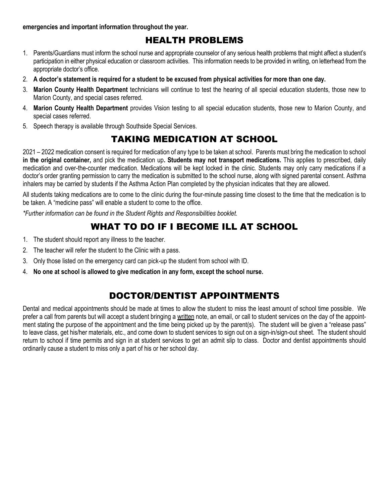### **emergencies and important information throughout the year.**

# HEALTH PROBLEMS

- 1. Parents/Guardians must inform the school nurse and appropriate counselor of any serious health problems that might affect a student's participation in either physical education or classroom activities. This information needs to be provided in writing, on letterhead from the appropriate doctor's office.
- 2. **A doctor's statement is required for a student to be excused from physical activities for more than one day.**
- 3. **Marion County Health Department** technicians will continue to test the hearing of all special education students, those new to Marion County, and special cases referred.
- 4. **Marion County Health Department** provides Vision testing to all special education students, those new to Marion County, and special cases referred.
- 5. Speech therapy is available through Southside Special Services.

# TAKING MEDICATION AT SCHOOL

2021 – 2022 medication consent is required for medication of any type to be taken at school. Parents must bring the medication to school **in the original container,** and pick the medication up**. Students may not transport medications.** This applies to prescribed, daily medication and over-the-counter medication. Medications will be kept locked in the clinic. Students may only carry medications if a doctor's order granting permission to carry the medication is submitted to the school nurse, along with signed parental consent. Asthma inhalers may be carried by students if the Asthma Action Plan completed by the physician indicates that they are allowed.

All students taking medications are to come to the clinic during the four-minute passing time closest to the time that the medication is to be taken. A "medicine pass" will enable a student to come to the office.

*\*Further information can be found in the Student Rights and Responsibilities booklet.*

# WHAT TO DO IF I BECOME ILL AT SCHOOL

- 1. The student should report any illness to the teacher.
- 2. The teacher will refer the student to the Clinic with a pass.
- 3. Only those listed on the emergency card can pick-up the student from school with ID.
- 4. **No one at school is allowed to give medication in any form, except the school nurse.**

# DOCTOR/DENTIST APPOINTMENTS

Dental and medical appointments should be made at times to allow the student to miss the least amount of school time possible. We prefer a call from parents but will accept a student bringing a written note, an email, or call to student services on the day of the appointment stating the purpose of the appointment and the time being picked up by the parent(s). The student will be given a "release pass" to leave class, get his/her materials, etc., and come down to student services to sign out on a sign-in/sign-out sheet. The student should return to school if time permits and sign in at student services to get an admit slip to class. Doctor and dentist appointments should ordinarily cause a student to miss only a part of his or her school day.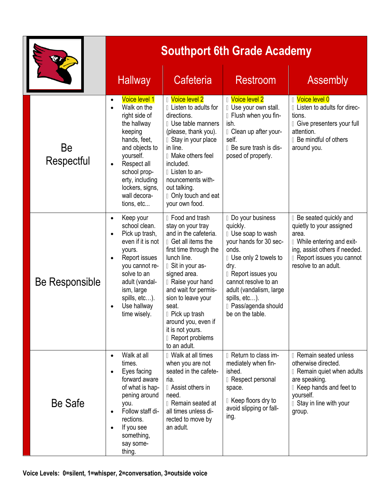|                  | <b>Southport 6th Grade Academy</b>                                                                                                                                                                                                                               |                                                                                                                                                                                                                                                                                                                                                                     |                                                                                                                                                                                                                                                              |                                                                                                                                                                                         |  |  |
|------------------|------------------------------------------------------------------------------------------------------------------------------------------------------------------------------------------------------------------------------------------------------------------|---------------------------------------------------------------------------------------------------------------------------------------------------------------------------------------------------------------------------------------------------------------------------------------------------------------------------------------------------------------------|--------------------------------------------------------------------------------------------------------------------------------------------------------------------------------------------------------------------------------------------------------------|-----------------------------------------------------------------------------------------------------------------------------------------------------------------------------------------|--|--|
|                  | <b>Hallway</b>                                                                                                                                                                                                                                                   | Cafeteria                                                                                                                                                                                                                                                                                                                                                           | <b>Restroom</b>                                                                                                                                                                                                                                              | <b>Assembly</b>                                                                                                                                                                         |  |  |
| Be<br>Respectful | Voice level 1<br>$\bullet$<br>Walk on the<br>$\bullet$<br>right side of<br>the hallway<br>keeping<br>hands, feet,<br>and objects to<br>yourself.<br>Respect all<br>$\bullet$<br>school prop-<br>erty, including<br>lockers, signs,<br>wall decora-<br>tions, etc | <b>I</b> Voice level 2<br><b>Listen to adults for</b><br>directions.<br><b>Use table manners</b><br>(please, thank you).<br>I Stay in your place<br>in line.<br>Ⅱ Make others feel<br>included.<br>I Listen to an-<br>nouncements with-<br>out talking.<br>D Only touch and eat<br>your own food.                                                                   | <b>I</b> Voice level 2<br>I Use your own stall.<br>I Flush when you fin-<br>ish.<br>I Clean up after your-<br>self.<br>D Be sure trash is dis-<br>posed of properly.                                                                                         | <b>I</b> Voice level 0<br>I Listen to adults for direc-<br>tions.<br>Give presenters your full<br>attention.<br><b>Be mindful of others</b><br>around you.                              |  |  |
| Be Responsible   | Keep your<br>$\bullet$<br>school clean.<br>Pick up trash,<br>$\bullet$<br>even if it is not<br>yours.<br>Report issues<br>$\bullet$<br>you cannot re-<br>solve to an<br>adult (vandal-<br>ism, large<br>spills, etc).<br>Use hallway<br>time wisely.             | <b>I</b> Food and trash<br>stay on your tray<br>and in the cafeteria.<br>Get all items the<br>first time through the<br>lunch line.<br>I Sit in your as-<br>signed area.<br><b>Raise your hand</b><br>and wait for permis-<br>sion to leave your<br>seat.<br>D Pick up trash<br>around you, even if<br>it is not yours.<br><b>I</b> Report problems<br>to an adult. | Do your business<br>quickly.<br>I Use soap to wash<br>your hands for 30 sec-<br>onds.<br>I Use only 2 towels to<br>dry.<br>Report issues you<br>cannot resolve to an<br>adult (vandalism, large<br>spills, etc).<br>D Pass/agenda should<br>be on the table. | Be seated quickly and<br>quietly to your assigned<br>area.<br>I While entering and exit-<br>ing, assist others if needed.<br>Report issues you cannot<br>resolve to an adult.           |  |  |
| Be Safe          | Walk at all<br>$\bullet$<br>times.<br>Eyes facing<br>$\bullet$<br>forward aware<br>of what is hap-<br>pening around<br>you.<br>Follow staff di-<br>$\bullet$<br>rections.<br>If you see<br>$\bullet$<br>something,<br>say some-<br>thing.                        | <b>U</b> Walk at all times<br>when you are not<br>seated in the cafete-<br>ria.<br>I Assist others in<br>need.<br><b>I</b> Remain seated at<br>all times unless di-<br>rected to move by<br>an adult.                                                                                                                                                               | <b>I</b> Return to class im-<br>mediately when fin-<br>ished.<br><b>I</b> Respect personal<br>space.<br>I Keep floors dry to<br>avoid slipping or fall-<br>ing.                                                                                              | <b>Remain seated unless</b><br>otherwise directed.<br><b>I</b> Remain quiet when adults<br>are speaking.<br>I Keep hands and feet to<br>yourself.<br>I Stay in line with your<br>group. |  |  |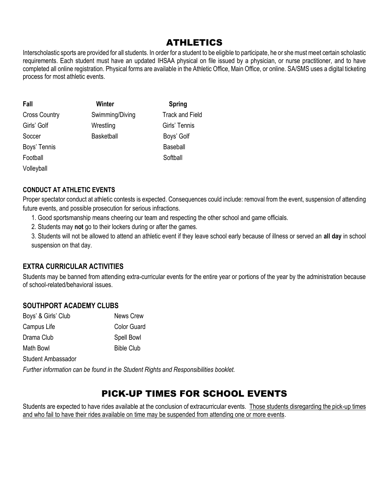# ATHLETICS

Interscholastic sports are provided for all students. In order for a student to be eligible to participate, he or she must meet certain scholastic requirements. Each student must have an updated IHSAA physical on file issued by a physician, or nurse practitioner, and to have completed all online registration. Physical forms are available in the Athletic Office, Main Office, or online. SA/SMS uses a digital ticketing process for most athletic events.

| Fall                 | Winter            | <b>Spring</b>          |
|----------------------|-------------------|------------------------|
| <b>Cross Country</b> | Swimming/Diving   | <b>Track and Field</b> |
| Girls' Golf          | Wrestling         | Girls' Tennis          |
| Soccer               | <b>Basketball</b> | Boys' Golf             |
| Boys' Tennis         |                   | <b>Baseball</b>        |
| Football             |                   | Softball               |
| Volleyball           |                   |                        |

### **CONDUCT AT ATHLETIC EVENTS**

Proper spectator conduct at athletic contests is expected. Consequences could include: removal from the event, suspension of attending future events, and possible prosecution for serious infractions.

- 1. Good sportsmanship means cheering our team and respecting the other school and game officials.
- 2. Students may **not** go to their lockers during or after the games.

3. Students will not be allowed to attend an athletic event if they leave school early because of illness or served an **all day** in school suspension on that day.

### **EXTRA CURRICULAR ACTIVITIES**

Students may be banned from attending extra-curricular events for the entire year or portions of the year by the administration because of school-related/behavioral issues.

### **SOUTHPORT ACADEMY CLUBS**

| Boys' & Girls' Club | <b>News Crew</b>   |
|---------------------|--------------------|
| Campus Life         | <b>Color Guard</b> |
| Drama Club          | Spell Bowl         |
| Math Bowl           | <b>Bible Club</b>  |

Student Ambassador

*Further information can be found in the Student Rights and Responsibilities booklet.*

# PICK-UP TIMES FOR SCHOOL EVENTS

Students are expected to have rides available at the conclusion of extracurricular events. Those students disregarding the pick-up times and who fail to have their rides available on time may be suspended from attending one or more events.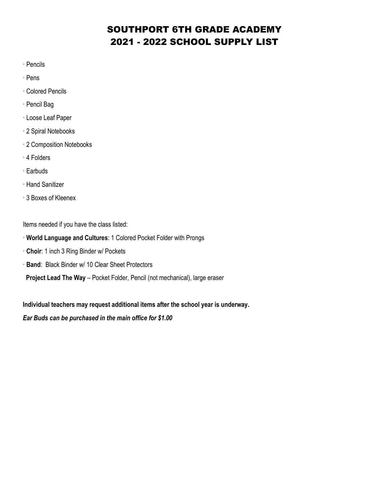# SOUTHPORT 6TH GRADE ACADEMY 2021 - 2022 SCHOOL SUPPLY LIST

- · Pencils
- · Pens
- · Colored Pencils
- · Pencil Bag
- · Loose Leaf Paper
- · 2 Spiral Notebooks
- · 2 Composition Notebooks
- · 4 Folders
- · Earbuds
- · Hand Sanitizer
- · 3 Boxes of Kleenex

Items needed if you have the class listed:

- · **World Language and Cultures**: 1 Colored Pocket Folder with Prongs
- · **Choir**: 1 inch 3 Ring Binder w/ Pockets
- · **Band**: Black Binder w/ 10 Clear Sheet Protectors

 **Project Lead The Way** – Pocket Folder, Pencil (not mechanical), large eraser

**Individual teachers may request additional items after the school year is underway.**

### *Ear Buds can be purchased in the main office for \$1.00*